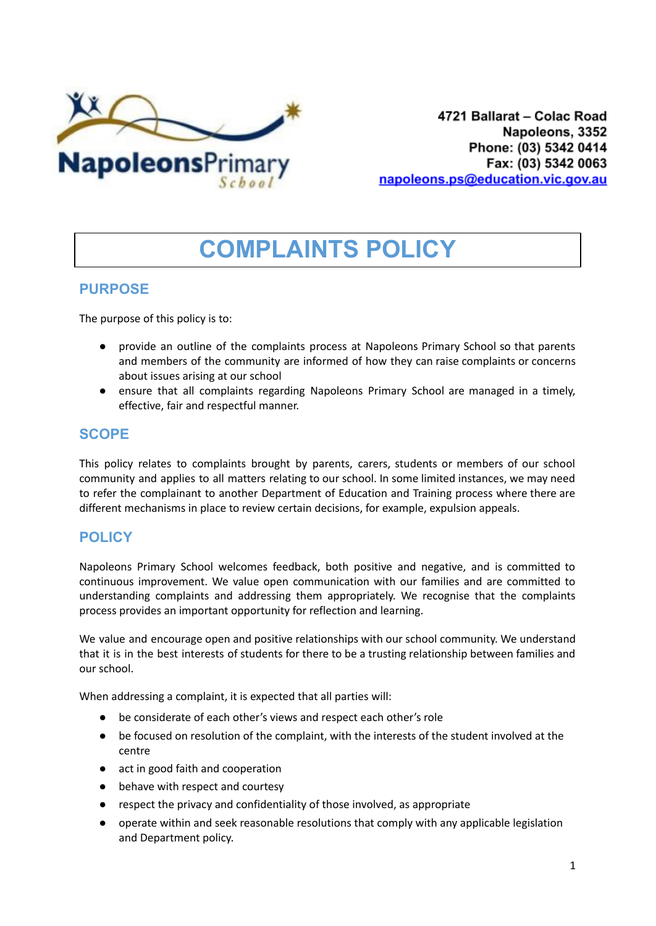

4721 Ballarat - Colac Road Napoleons, 3352 Phone: (03) 5342 0414 Fax: (03) 5342 0063 napoleons.ps@education.vic.gov.au

# **COMPLAINTS POLICY**

# **PURPOSE**

The purpose of this policy is to:

- provide an outline of the complaints process at Napoleons Primary School so that parents and members of the community are informed of how they can raise complaints or concerns about issues arising at our school
- ensure that all complaints regarding Napoleons Primary School are managed in a timely, effective, fair and respectful manner.

# **SCOPE**

This policy relates to complaints brought by parents, carers, students or members of our school community and applies to all matters relating to our school. In some limited instances, we may need to refer the complainant to another Department of Education and Training process where there are different mechanisms in place to review certain decisions, for example, expulsion appeals.

# **POLICY**

Napoleons Primary School welcomes feedback, both positive and negative, and is committed to continuous improvement. We value open communication with our families and are committed to understanding complaints and addressing them appropriately. We recognise that the complaints process provides an important opportunity for reflection and learning.

We value and encourage open and positive relationships with our school community. We understand that it is in the best interests of students for there to be a trusting relationship between families and our school.

When addressing a complaint, it is expected that all parties will:

- be considerate of each other's views and respect each other's role
- be focused on resolution of the complaint, with the interests of the student involved at the centre
- act in good faith and cooperation
- behave with respect and courtesy
- respect the privacy and confidentiality of those involved, as appropriate
- operate within and seek reasonable resolutions that comply with any applicable legislation and Department policy.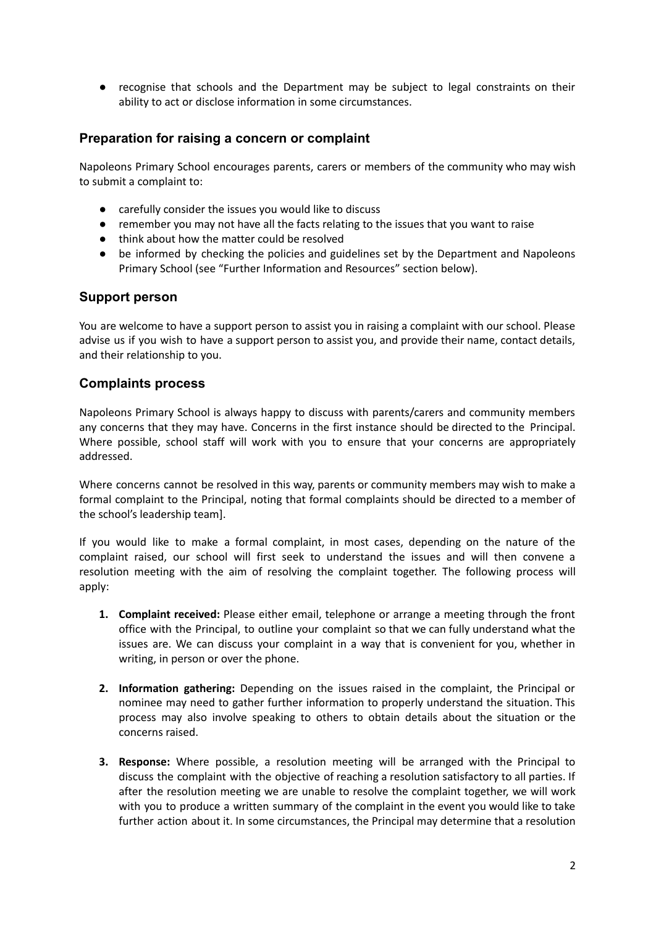● recognise that schools and the Department may be subject to legal constraints on their ability to act or disclose information in some circumstances.

#### **Preparation for raising a concern or complaint**

Napoleons Primary School encourages parents, carers or members of the community who may wish to submit a complaint to:

- carefully consider the issues you would like to discuss
- remember you may not have all the facts relating to the issues that you want to raise
- think about how the matter could be resolved
- be informed by checking the policies and guidelines set by the Department and Napoleons Primary School (see "Further Information and Resources" section below).

#### **Support person**

You are welcome to have a support person to assist you in raising a complaint with our school. Please advise us if you wish to have a support person to assist you, and provide their name, contact details, and their relationship to you.

#### **Complaints process**

Napoleons Primary School is always happy to discuss with parents/carers and community members any concerns that they may have. Concerns in the first instance should be directed to the Principal. Where possible, school staff will work with you to ensure that your concerns are appropriately addressed.

Where concerns cannot be resolved in this way, parents or community members may wish to make a formal complaint to the Principal, noting that formal complaints should be directed to a member of the school's leadership team].

If you would like to make a formal complaint, in most cases, depending on the nature of the complaint raised, our school will first seek to understand the issues and will then convene a resolution meeting with the aim of resolving the complaint together. The following process will apply:

- **1. Complaint received:** Please either email, telephone or arrange a meeting through the front office with the Principal, to outline your complaint so that we can fully understand what the issues are. We can discuss your complaint in a way that is convenient for you, whether in writing, in person or over the phone.
- **2. Information gathering:** Depending on the issues raised in the complaint, the Principal or nominee may need to gather further information to properly understand the situation. This process may also involve speaking to others to obtain details about the situation or the concerns raised.
- **3. Response:** Where possible, a resolution meeting will be arranged with the Principal to discuss the complaint with the objective of reaching a resolution satisfactory to all parties. If after the resolution meeting we are unable to resolve the complaint together, we will work with you to produce a written summary of the complaint in the event you would like to take further action about it. In some circumstances, the Principal may determine that a resolution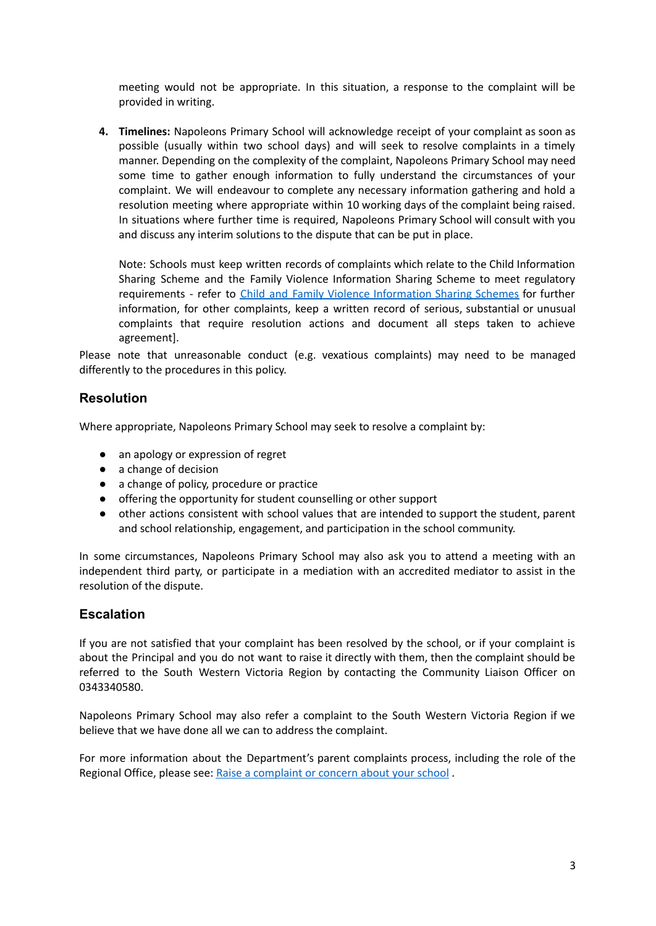meeting would not be appropriate. In this situation, a response to the complaint will be provided in writing.

**4. Timelines:** Napoleons Primary School will acknowledge receipt of your complaint as soon as possible (usually within two school days) and will seek to resolve complaints in a timely manner. Depending on the complexity of the complaint, Napoleons Primary School may need some time to gather enough information to fully understand the circumstances of your complaint. We will endeavour to complete any necessary information gathering and hold a resolution meeting where appropriate within 10 working days of the complaint being raised. In situations where further time is required, Napoleons Primary School will consult with you and discuss any interim solutions to the dispute that can be put in place.

Note: Schools must keep written records of complaints which relate to the Child Information Sharing Scheme and the Family Violence Information Sharing Scheme to meet regulatory requirements - refer to Child and Family Violence [Information](https://www2.education.vic.gov.au/pal/information-sharing-schemes/policy) Sharing Schemes for further information, for other complaints, keep a written record of serious, substantial or unusual complaints that require resolution actions and document all steps taken to achieve agreement].

Please note that unreasonable conduct (e.g. vexatious complaints) may need to be managed differently to the procedures in this policy.

### **Resolution**

Where appropriate, Napoleons Primary School may seek to resolve a complaint by:

- an apology or expression of regret
- a change of decision
- a change of policy, procedure or practice
- offering the opportunity for student counselling or other support
- other actions consistent with school values that are intended to support the student, parent and school relationship, engagement, and participation in the school community.

In some circumstances, Napoleons Primary School may also ask you to attend a meeting with an independent third party, or participate in a mediation with an accredited mediator to assist in the resolution of the dispute.

#### **Escalation**

If you are not satisfied that your complaint has been resolved by the school, or if your complaint is about the Principal and you do not want to raise it directly with them, then the complaint should be referred to the South Western Victoria Region by contacting the Community Liaison Officer on 0343340580.

Napoleons Primary School may also refer a complaint to the South Western Victoria Region if we believe that we have done all we can to address the complaint.

For more information about the Department's parent complaints process, including the role of the Regional Office, please see: Raise a [complaint](https://www.education.vic.gov.au/parents/going-to-school/Pages/school-complaints.aspx#policy) or concern about your school.